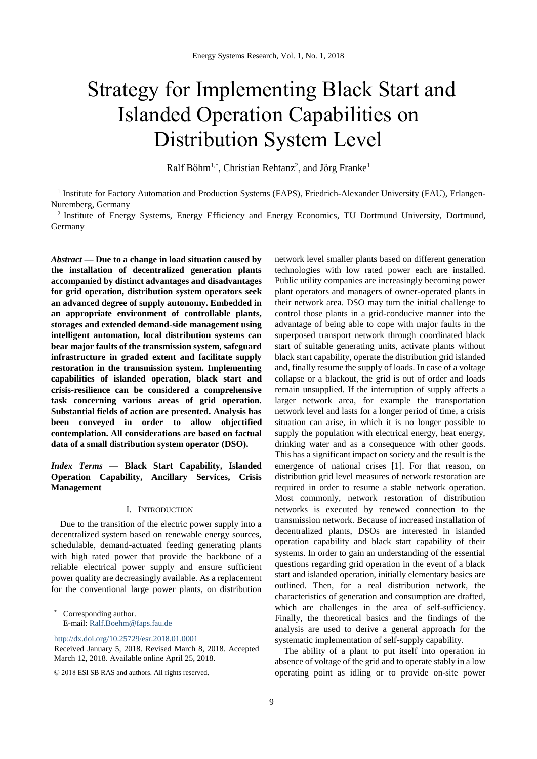# Strategy for Implementing Black Start and Islanded Operation Capabilities on Distribution System Level

Ralf Böhm<sup>1,\*</sup>, Christian Rehtanz<sup>2</sup>, and Jörg Franke<sup>1</sup>

<sup>1</sup> Institute for Factory Automation and Production Systems (FAPS), Friedrich-Alexander University (FAU), Erlangen-Nuremberg, Germany

<sup>2</sup> Institute of Energy Systems, Energy Efficiency and Energy Economics, TU Dortmund University, Dortmund, Germany

*Abstract* **— Due to a change in load situation caused by the installation of decentralized generation plants accompanied by distinct advantages and disadvantages for grid operation, distribution system operators seek an advanced degree of supply autonomy. Embedded in an appropriate environment of controllable plants, storages and extended demand-side management using intelligent automation, local distribution systems can bear major faults of the transmission system, safeguard infrastructure in graded extent and facilitate supply restoration in the transmission system. Implementing capabilities of islanded operation, black start and crisis-resilience can be considered a comprehensive task concerning various areas of grid operation. Substantial fields of action are presented. Analysis has been conveyed in order to allow objectified contemplation. All considerations are based on factual data of a small distribution system operator (DSO).**

*Index Terms* **— Black Start Capability, Islanded Operation Capability, Ancillary Services, Crisis Management**

# I. INTRODUCTION

Due to the transition of the electric power supply into a decentralized system based on renewable energy sources, schedulable, demand-actuated feeding generating plants with high rated power that provide the backbone of a reliable electrical power supply and ensure sufficient power quality are decreasingly available. As a replacement for the conventional large power plants, on distribution

<http://dx.doi.org/10.25729/esr.2018.01.0001>

network level smaller plants based on different generation technologies with low rated power each are installed. Public utility companies are increasingly becoming power plant operators and managers of owner-operated plants in their network area. DSO may turn the initial challenge to control those plants in a grid-conducive manner into the advantage of being able to cope with major faults in the superposed transport network through coordinated black start of suitable generating units, activate plants without black start capability, operate the distribution grid islanded and, finally resume the supply of loads. In case of a voltage collapse or a blackout, the grid is out of order and loads remain unsupplied. If the interruption of supply affects a larger network area, for example the transportation network level and lasts for a longer period of time, a crisis situation can arise, in which it is no longer possible to supply the population with electrical energy, heat energy, drinking water and as a consequence with other goods. This has a significant impact on society and the result is the emergence of national crises [1]. For that reason, on distribution grid level measures of network restoration are required in order to resume a stable network operation. Most commonly, network restoration of distribution networks is executed by renewed connection to the transmission network. Because of increased installation of decentralized plants, DSOs are interested in islanded operation capability and black start capability of their systems. In order to gain an understanding of the essential questions regarding grid operation in the event of a black start and islanded operation, initially elementary basics are outlined. Then, for a real distribution network, the characteristics of generation and consumption are drafted, which are challenges in the area of self-sufficiency. Finally, the theoretical basics and the findings of the analysis are used to derive a general approach for the systematic implementation of self-supply capability.

The ability of a plant to put itself into operation in absence of voltage of the grid and to operate stably in a low operating point as idling or to provide on-site power

Corresponding author. E-mail: [Ralf.Boehm@faps.fau.de](mailto:Ralf.Boehm@faps.fau.de)

Received January 5, 2018. Revised March 8, 2018. Accepted March 12, 2018. Available online April 25, 2018.

<sup>© 2018</sup> ESI SB RAS and authors. All rights reserved.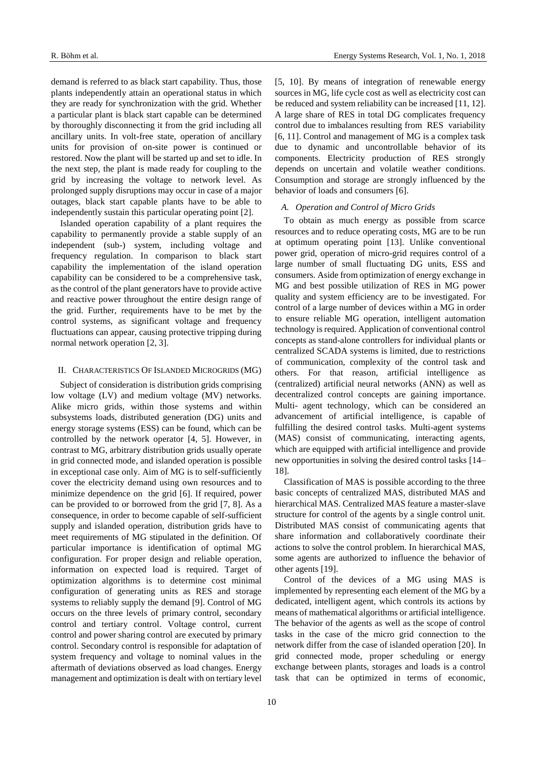demand is referred to as black start capability. Thus, those plants independently attain an operational status in which they are ready for synchronization with the grid. Whether a particular plant is black start capable can be determined by thoroughly disconnecting it from the grid including all ancillary units. In volt-free state, operation of ancillary units for provision of on-site power is continued or restored. Now the plant will be started up and set to idle. In the next step, the plant is made ready for coupling to the grid by increasing the voltage to network level. As prolonged supply disruptions may occur in case of a major outages, black start capable plants have to be able to independently sustain this particular operating point [2].

Islanded operation capability of a plant requires the capability to permanently provide a stable supply of an independent (sub-) system, including voltage and frequency regulation. In comparison to black start capability the implementation of the island operation capability can be considered to be a comprehensive task, as the control of the plant generators have to provide active and reactive power throughout the entire design range of the grid. Further, requirements have to be met by the control systems, as significant voltage and frequency fluctuations can appear, causing protective tripping during normal network operation [2, 3].

#### II. CHARACTERISTICS OF ISLANDED MICROGRIDS (MG)

Subject of consideration is distribution grids comprising low voltage (LV) and medium voltage (MV) networks. Alike micro grids, within those systems and within subsystems loads, distributed generation (DG) units and energy storage systems (ESS) can be found, which can be controlled by the network operator [4, 5]. However, in contrast to MG, arbitrary distribution grids usually operate in grid connected mode, and islanded operation is possible in exceptional case only. Aim of MG is to self-sufficiently cover the electricity demand using own resources and to minimize dependence on the grid [6]. If required, power can be provided to or borrowed from the grid [7, 8]. As a consequence, in order to become capable of self-sufficient supply and islanded operation, distribution grids have to meet requirements of MG stipulated in the definition. Of particular importance is identification of optimal MG configuration. For proper design and reliable operation, information on expected load is required. Target of optimization algorithms is to determine cost minimal configuration of generating units as RES and storage systems to reliably supply the demand [9]. Control of MG occurs on the three levels of primary control, secondary control and tertiary control. Voltage control, current control and power sharing control are executed by primary control. Secondary control is responsible for adaptation of system frequency and voltage to nominal values in the aftermath of deviations observed as load changes. Energy management and optimization is dealt with on tertiary level

[5, 10]. By means of integration of renewable energy sources in MG, life cycle cost as well as electricity cost can be reduced and system reliability can be increased [11, 12]. A large share of RES in total DG complicates frequency control due to imbalances resulting from RES variability [6, 11]. Control and management of MG is a complex task due to dynamic and uncontrollable behavior of its components. Electricity production of RES strongly depends on uncertain and volatile weather conditions. Consumption and storage are strongly influenced by the behavior of loads and consumers [6].

# *A. Operation and Control of Micro Grids*

To obtain as much energy as possible from scarce resources and to reduce operating costs, MG are to be run at optimum operating point [13]. Unlike conventional power grid, operation of micro-grid requires control of a large number of small fluctuating DG units, ESS and consumers. Aside from optimization of energy exchange in MG and best possible utilization of RES in MG power quality and system efficiency are to be investigated. For control of a large number of devices within a MG in order to ensure reliable MG operation, intelligent automation technology is required. Application of conventional control concepts as stand-alone controllers for individual plants or centralized SCADA systems is limited, due to restrictions of communication, complexity of the control task and others. For that reason, artificial intelligence as (centralized) artificial neural networks (ANN) as well as decentralized control concepts are gaining importance. Multi- agent technology, which can be considered an advancement of artificial intelligence, is capable of fulfilling the desired control tasks. Multi-agent systems (MAS) consist of communicating, interacting agents, which are equipped with artificial intelligence and provide new opportunities in solving the desired control tasks [14– 18].

Classification of MAS is possible according to the three basic concepts of centralized MAS, distributed MAS and hierarchical MAS. Centralized MAS feature a master-slave structure for control of the agents by a single control unit. Distributed MAS consist of communicating agents that share information and collaboratively coordinate their actions to solve the control problem. In hierarchical MAS, some agents are authorized to influence the behavior of other agents [19].

Control of the devices of a MG using MAS is implemented by representing each element of the MG by a dedicated, intelligent agent, which controls its actions by means of mathematical algorithms or artificial intelligence. The behavior of the agents as well as the scope of control tasks in the case of the micro grid connection to the network differ from the case of islanded operation [20]. In grid connected mode, proper scheduling or energy exchange between plants, storages and loads is a control task that can be optimized in terms of economic,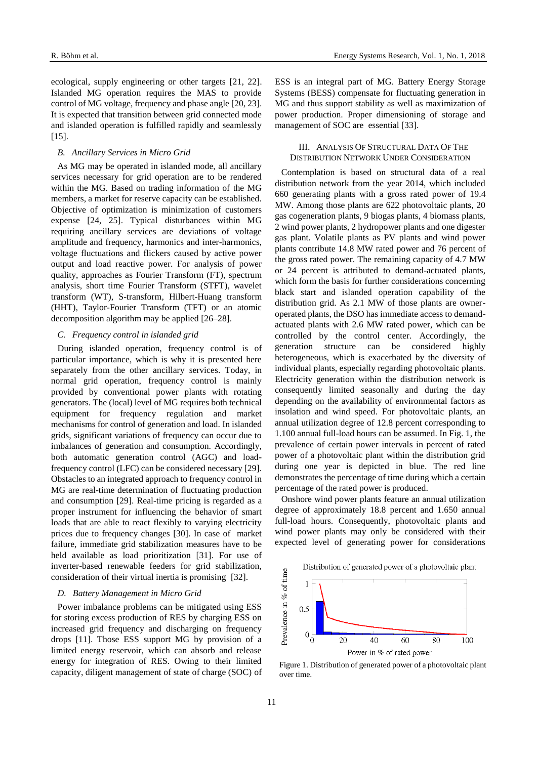ecological, supply engineering or other targets [21, 22]. Islanded MG operation requires the MAS to provide control of MG voltage, frequency and phase angle [20, 23]. It is expected that transition between grid connected mode and islanded operation is fulfilled rapidly and seamlessly  $[15]$ .

#### *B. Ancillary Services in Micro Grid*

As MG may be operated in islanded mode, all ancillary services necessary for grid operation are to be rendered within the MG. Based on trading information of the MG members, a market for reserve capacity can be established. Objective of optimization is minimization of customers expense [24, 25]. Typical disturbances within MG requiring ancillary services are deviations of voltage amplitude and frequency, harmonics and inter-harmonics, voltage fluctuations and flickers caused by active power output and load reactive power. For analysis of power quality, approaches as Fourier Transform (FT), spectrum analysis, short time Fourier Transform (STFT), wavelet transform (WT), S-transform, Hilbert-Huang transform (HHT), Taylor-Fourier Transform (TFT) or an atomic decomposition algorithm may be applied [26–28].

## *C. Frequency control in islanded grid*

During islanded operation, frequency control is of particular importance, which is why it is presented here separately from the other ancillary services. Today, in normal grid operation, frequency control is mainly provided by conventional power plants with rotating generators. The (local) level of MG requires both technical equipment for frequency regulation and market mechanisms for control of generation and load. In islanded grids, significant variations of frequency can occur due to imbalances of generation and consumption. Accordingly, both automatic generation control (AGC) and loadfrequency control (LFC) can be considered necessary [29]. Obstacles to an integrated approach to frequency control in MG are real-time determination of fluctuating production and consumption [29]. Real-time pricing is regarded as a proper instrument for influencing the behavior of smart loads that are able to react flexibly to varying electricity prices due to frequency changes [30]. In case of market failure, immediate grid stabilization measures have to be held available as load prioritization [31]. For use of inverter-based renewable feeders for grid stabilization, consideration of their virtual inertia is promising [32].

#### *D. Battery Management in Micro Grid*

Power imbalance problems can be mitigated using ESS for storing excess production of RES by charging ESS on increased grid frequency and discharging on frequency drops [11]. Those ESS support MG by provision of a limited energy reservoir, which can absorb and release energy for integration of RES. Owing to their limited capacity, diligent management of state of charge (SOC) of ESS is an integral part of MG. Battery Energy Storage Systems (BESS) compensate for fluctuating generation in MG and thus support stability as well as maximization of power production. Proper dimensioning of storage and management of SOC are essential [33].

# III. ANALYSIS OF STRUCTURAL DATA OF THE DISTRIBUTION NETWORK UNDER CONSIDERATION

Contemplation is based on structural data of a real distribution network from the year 2014, which included 660 generating plants with a gross rated power of 19.4 MW. Among those plants are 622 photovoltaic plants, 20 gas cogeneration plants, 9 biogas plants, 4 biomass plants, 2 wind power plants, 2 hydropower plants and one digester gas plant. Volatile plants as PV plants and wind power plants contribute 14.8 MW rated power and 76 percent of the gross rated power. The remaining capacity of 4.7 MW or 24 percent is attributed to demand-actuated plants, which form the basis for further considerations concerning black start and islanded operation capability of the distribution grid. As 2.1 MW of those plants are owneroperated plants, the DSO has immediate access to demandactuated plants with 2.6 MW rated power, which can be controlled by the control center. Accordingly, the generation structure can be considered highly heterogeneous, which is exacerbated by the diversity of individual plants, especially regarding photovoltaic plants. Electricity generation within the distribution network is consequently limited seasonally and during the day depending on the availability of environmental factors as insolation and wind speed. For photovoltaic plants, an annual utilization degree of 12.8 percent corresponding to 1.100 annual full-load hours can be assumed. In Fig. 1, the prevalence of certain power intervals in percent of rated power of a photovoltaic plant within the distribution grid during one year is depicted in blue. The red line demonstrates the percentage of time during which a certain percentage of the rated power is produced.

Onshore wind power plants feature an annual utilization degree of approximately 18.8 percent and 1.650 annual full-load hours. Consequently, photovoltaic plants and wind power plants may only be considered with their expected level of generating power for considerations

Distribution of generated power of a photovoltaic plant



Figure 1. Distribution of generated power of a photovoltaic plant over time.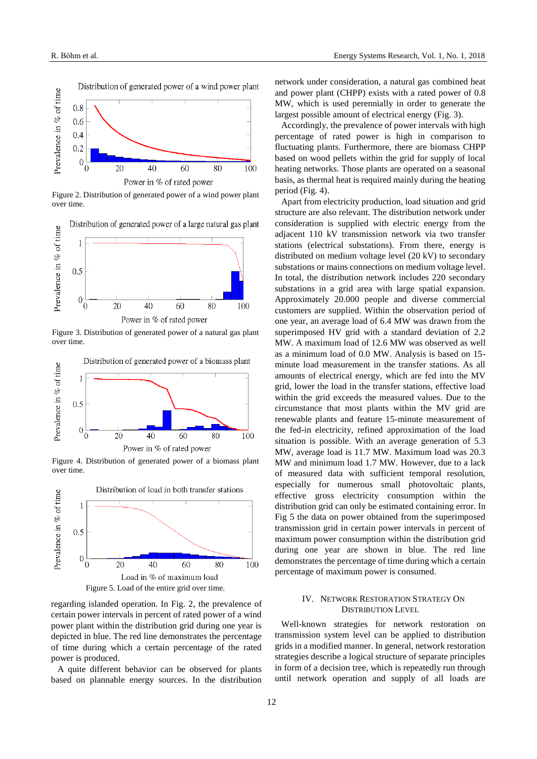

Figure 2. Distribution of generated power of a wind power plant over time.

Distribution of generated power of a large natural gas plant



Power in % of rated power

Figure 3. Distribution of generated power of a natural gas plant over time.



Figure 4. Distribution of generated power of a biomass plant over time.



regarding islanded operation. In Fig. 2, the prevalence of certain power intervals in percent of rated power of a wind power plant within the distribution grid during one year is depicted in blue. The red line demonstrates the percentage of time during which a certain percentage of the rated power is produced.

A quite different behavior can be observed for plants based on plannable energy sources. In the distribution largest possible amount of electrical energy (Fig. 3). Accordingly, the prevalence of power intervals with high percentage of rated power is high in comparison to

fluctuating plants. Furthermore, there are biomass CHPP based on wood pellets within the grid for supply of local heating networks. Those plants are operated on a seasonal basis, as thermal heat is required mainly during the heating period (Fig. 4).

network under consideration, a natural gas combined heat and power plant (CHPP) exists with a rated power of 0.8 MW, which is used perennially in order to generate the

Apart from electricity production, load situation and grid structure are also relevant. The distribution network under consideration is supplied with electric energy from the adjacent 110 kV transmission network via two transfer stations (electrical substations). From there, energy is distributed on medium voltage level (20 kV) to secondary substations or mains connections on medium voltage level. In total, the distribution network includes 220 secondary substations in a grid area with large spatial expansion. Approximately 20.000 people and diverse commercial customers are supplied. Within the observation period of one year, an average load of 6.4 MW was drawn from the superimposed HV grid with a standard deviation of 2.2 MW. A maximum load of 12.6 MW was observed as well as a minimum load of 0.0 MW. Analysis is based on 15 minute load measurement in the transfer stations. As all amounts of electrical energy, which are fed into the MV grid, lower the load in the transfer stations, effective load within the grid exceeds the measured values. Due to the circumstance that most plants within the MV grid are renewable plants and feature 15-minute measurement of the fed-in electricity, refined approximation of the load situation is possible. With an average generation of 5.3 MW, average load is 11.7 MW. Maximum load was 20.3 MW and minimum load 1.7 MW. However, due to a lack of measured data with sufficient temporal resolution, especially for numerous small photovoltaic plants, effective gross electricity consumption within the distribution grid can only be estimated containing error. In Fig 5 the data on power obtained from the superimposed transmission grid in certain power intervals in percent of maximum power consumption within the distribution grid during one year are shown in blue. The red line demonstrates the percentage of time during which a certain percentage of maximum power is consumed.

# IV. NETWORK RESTORATION STRATEGY ON DISTRIBUTION LEVEL

Well-known strategies for network restoration on transmission system level can be applied to distribution grids in a modified manner. In general, network restoration strategies describe a logical structure of separate principles in form of a decision tree, which is repeatedly run through until network operation and supply of all loads are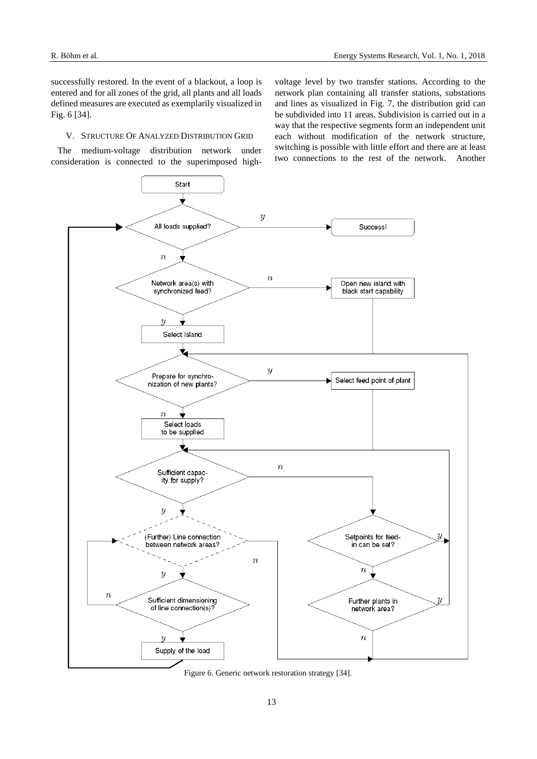successfully restored. In the event of a blackout, a loop is entered and for all zones of the grid, all plants and all loads defined measures are executed as exemplarily visualized in Fig. 6 [34].

# V. STRUCTURE OF ANALYZED DISTRIBUTION GRID

The medium-voltage distribution network under consideration is connected to the superimposed highvoltage level by two transfer stations. According to the network plan containing all transfer stations, substations and lines as visualized in Fig. 7, the distribution grid can be subdivided into 11 areas. Subdivision is carried out in a way that the respective segments form an independent unit each without modification of the network structure, switching is possible with little effort and there are at least two connections to the rest of the network. Another



Figure 6. Generic network restoration strategy [34].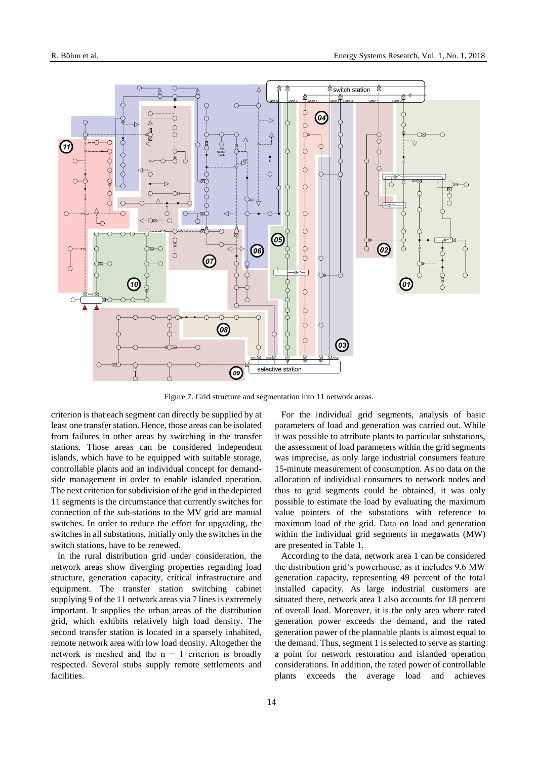

Figure 7. Grid structure and segmentation into 11 network areas.

criterion is that each segment can directly be supplied by at least one transfer station. Hence, those areas can be isolated from failures in other areas by switching in the transfer stations. Those areas can be considered independent islands, which have to be equipped with suitable storage, controllable plants and an individual concept for demandside management in order to enable islanded operation. The next criterion for subdivision of the grid in the depicted 11 segments is the circumstance that currently switches for connection of the sub-stations to the MV grid are manual switches. In order to reduce the effort for upgrading, the switches in all substations, initially only the switches in the switch stations, have to be renewed.

In the rural distribution grid under consideration, the network areas show diverging properties regarding load structure, generation capacity, critical infrastructure and equipment. The transfer station switching cabinet supplying 9 of the 11 network areas via 7 lines is extremely important. It supplies the urban areas of the distribution grid, which exhibits relatively high load density. The second transfer station is located in a sparsely inhabited, remote network area with low load density. Altogether the network is meshed and the  $n - 1$  criterion is broadly respected. Several stubs supply remote settlements and facilities.

For the individual grid segments, analysis of basic parameters of load and generation was carried out. While it was possible to attribute plants to particular substations, the assessment of load parameters within the grid segments was imprecise, as only large industrial consumers feature 15-minute measurement of consumption. As no data on the allocation of individual consumers to network nodes and thus to grid segments could be obtained, it was only possible to estimate the load by evaluating the maximum value pointers of the substations with reference to maximum load of the grid. Data on load and generation within the individual grid segments in megawatts (MW) are presented in Table 1.

According to the data, network area 1 can be considered the distribution grid's powerhouse, as it includes 9.6 MW generation capacity, representing 49 percent of the total installed capacity. As large industrial customers are situated there, network area 1 also accounts for 18 percent of overall load. Moreover, it is the only area where rated generation power exceeds the demand, and the rated generation power of the plannable plants is almost equal to the demand. Thus, segment 1 is selected to serve as starting a point for network restoration and islanded operation considerations. In addition, the rated power of controllable plants exceeds the average load and achieves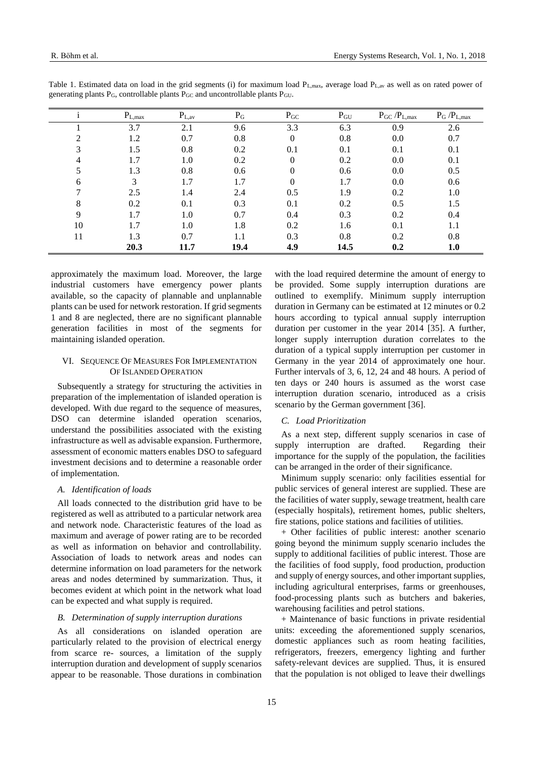|    | $P_{L, max}$ | $P_{L,av}$ | $P_G$ | $P_{GC}$     | $P_{GU}$ | $P_{GC}$ / $P_{L,max}$ | $P_G$ / $P_{L,max}$ |
|----|--------------|------------|-------|--------------|----------|------------------------|---------------------|
|    | 3.7          | 2.1        | 9.6   | 3.3          | 6.3      | 0.9                    | 2.6                 |
| ↑  | 1.2          | 0.7        | 0.8   | $\mathbf{0}$ | 0.8      | 0.0                    | 0.7                 |
| 3  | 1.5          | 0.8        | 0.2   | 0.1          | 0.1      | 0.1                    | 0.1                 |
| 4  | 1.7          | 1.0        | 0.2   | $\Omega$     | 0.2      | 0.0                    | 0.1                 |
| 5  | 1.3          | 0.8        | 0.6   | $\Omega$     | 0.6      | 0.0                    | 0.5                 |
| 6  | 3            | 1.7        | 1.7   | $\Omega$     | 1.7      | 0.0                    | 0.6                 |
|    | 2.5          | 1.4        | 2.4   | 0.5          | 1.9      | 0.2                    | 1.0                 |
| 8  | 0.2          | 0.1        | 0.3   | 0.1          | 0.2      | 0.5                    | 1.5                 |
| 9  | 1.7          | 1.0        | 0.7   | 0.4          | 0.3      | 0.2                    | 0.4                 |
| 10 | 1.7          | 1.0        | 1.8   | 0.2          | 1.6      | 0.1                    | 1.1                 |
| 11 | 1.3          | 0.7        | 1.1   | 0.3          | 0.8      | 0.2                    | 0.8                 |
|    | 20.3         | 11.7       | 19.4  | 4.9          | 14.5     | 0.2                    | 1.0                 |

Table 1. Estimated data on load in the grid segments (i) for maximum load  $P_{L, max}$ , average load  $P_{L, av}$  as well as on rated power of generating plants PG, controllable plants PGC and uncontrollable plants PGU.

approximately the maximum load. Moreover, the large industrial customers have emergency power plants available, so the capacity of plannable and unplannable plants can be used for network restoration. If grid segments 1 and 8 are neglected, there are no significant plannable generation facilities in most of the segments for maintaining islanded operation.

# VI. SEQUENCE OF MEASURES FOR IMPLEMENTATION OF ISLANDED OPERATION

Subsequently a strategy for structuring the activities in preparation of the implementation of islanded operation is developed. With due regard to the sequence of measures, DSO can determine islanded operation scenarios, understand the possibilities associated with the existing infrastructure as well as advisable expansion. Furthermore, assessment of economic matters enables DSO to safeguard investment decisions and to determine a reasonable order of implementation.

#### *A. Identification of loads*

All loads connected to the distribution grid have to be registered as well as attributed to a particular network area and network node. Characteristic features of the load as maximum and average of power rating are to be recorded as well as information on behavior and controllability. Association of loads to network areas and nodes can determine information on load parameters for the network areas and nodes determined by summarization. Thus, it becomes evident at which point in the network what load can be expected and what supply is required.

# *B. Determination of supply interruption durations*

As all considerations on islanded operation are particularly related to the provision of electrical energy from scarce re- sources, a limitation of the supply interruption duration and development of supply scenarios appear to be reasonable. Those durations in combination

with the load required determine the amount of energy to be provided. Some supply interruption durations are outlined to exemplify. Minimum supply interruption duration in Germany can be estimated at 12 minutes or 0.2 hours according to typical annual supply interruption duration per customer in the year 2014 [35]. A further, longer supply interruption duration correlates to the duration of a typical supply interruption per customer in Germany in the year 2014 of approximately one hour. Further intervals of 3, 6, 12, 24 and 48 hours. A period of ten days or 240 hours is assumed as the worst case interruption duration scenario, introduced as a crisis scenario by the German government [36].

# *C. Load Prioritization*

As a next step, different supply scenarios in case of supply interruption are drafted. Regarding their importance for the supply of the population, the facilities can be arranged in the order of their significance.

Minimum supply scenario: only facilities essential for public services of general interest are supplied. These are the facilities of water supply, sewage treatment, health care (especially hospitals), retirement homes, public shelters, fire stations, police stations and facilities of utilities.

+ Other facilities of public interest: another scenario going beyond the minimum supply scenario includes the supply to additional facilities of public interest. Those are the facilities of food supply, food production, production and supply of energy sources, and other important supplies, including agricultural enterprises, farms or greenhouses, food-processing plants such as butchers and bakeries, warehousing facilities and petrol stations.

+ Maintenance of basic functions in private residential units: exceeding the aforementioned supply scenarios, domestic appliances such as room heating facilities, refrigerators, freezers, emergency lighting and further safety-relevant devices are supplied. Thus, it is ensured that the population is not obliged to leave their dwellings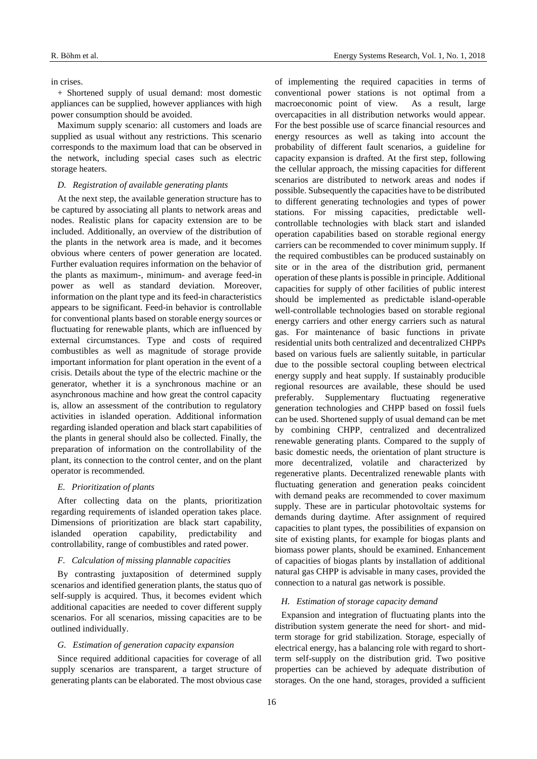#### in crises.

+ Shortened supply of usual demand: most domestic appliances can be supplied, however appliances with high power consumption should be avoided.

Maximum supply scenario: all customers and loads are supplied as usual without any restrictions. This scenario corresponds to the maximum load that can be observed in the network, including special cases such as electric storage heaters.

## *D. Registration of available generating plants*

At the next step, the available generation structure has to be captured by associating all plants to network areas and nodes. Realistic plans for capacity extension are to be included. Additionally, an overview of the distribution of the plants in the network area is made, and it becomes obvious where centers of power generation are located. Further evaluation requires information on the behavior of the plants as maximum-, minimum- and average feed-in power as well as standard deviation. Moreover, information on the plant type and its feed-in characteristics appears to be significant. Feed-in behavior is controllable for conventional plants based on storable energy sources or fluctuating for renewable plants, which are influenced by external circumstances. Type and costs of required combustibles as well as magnitude of storage provide important information for plant operation in the event of a crisis. Details about the type of the electric machine or the generator, whether it is a synchronous machine or an asynchronous machine and how great the control capacity is, allow an assessment of the contribution to regulatory activities in islanded operation. Additional information regarding islanded operation and black start capabilities of the plants in general should also be collected. Finally, the preparation of information on the controllability of the plant, its connection to the control center, and on the plant operator is recommended.

#### *E. Prioritization of plants*

After collecting data on the plants, prioritization regarding requirements of islanded operation takes place. Dimensions of prioritization are black start capability, islanded operation capability, predictability and controllability, range of combustibles and rated power.

# *F. Calculation of missing plannable capacities*

By contrasting juxtaposition of determined supply scenarios and identified generation plants, the status quo of self-supply is acquired. Thus, it becomes evident which additional capacities are needed to cover different supply scenarios. For all scenarios, missing capacities are to be outlined individually.

# *G. Estimation of generation capacity expansion*

Since required additional capacities for coverage of all supply scenarios are transparent, a target structure of generating plants can be elaborated. The most obvious case

of implementing the required capacities in terms of conventional power stations is not optimal from a macroeconomic point of view. As a result, large overcapacities in all distribution networks would appear. For the best possible use of scarce financial resources and energy resources as well as taking into account the probability of different fault scenarios, a guideline for capacity expansion is drafted. At the first step, following the cellular approach, the missing capacities for different scenarios are distributed to network areas and nodes if possible. Subsequently the capacities have to be distributed to different generating technologies and types of power stations. For missing capacities, predictable wellcontrollable technologies with black start and islanded operation capabilities based on storable regional energy carriers can be recommended to cover minimum supply. If the required combustibles can be produced sustainably on site or in the area of the distribution grid, permanent operation of these plants is possible in principle. Additional capacities for supply of other facilities of public interest should be implemented as predictable island-operable well-controllable technologies based on storable regional energy carriers and other energy carriers such as natural gas. For maintenance of basic functions in private residential units both centralized and decentralized CHPPs based on various fuels are saliently suitable, in particular due to the possible sectoral coupling between electrical energy supply and heat supply. If sustainably producible regional resources are available, these should be used preferably. Supplementary fluctuating regenerative generation technologies and CHPP based on fossil fuels can be used. Shortened supply of usual demand can be met by combining CHPP, centralized and decentralized renewable generating plants. Compared to the supply of basic domestic needs, the orientation of plant structure is more decentralized, volatile and characterized by regenerative plants. Decentralized renewable plants with fluctuating generation and generation peaks coincident with demand peaks are recommended to cover maximum supply. These are in particular photovoltaic systems for demands during daytime. After assignment of required capacities to plant types, the possibilities of expansion on site of existing plants, for example for biogas plants and biomass power plants, should be examined. Enhancement of capacities of biogas plants by installation of additional natural gas CHPP is advisable in many cases, provided the connection to a natural gas network is possible.

#### *H. Estimation of storage capacity demand*

Expansion and integration of fluctuating plants into the distribution system generate the need for short- and midterm storage for grid stabilization. Storage, especially of electrical energy, has a balancing role with regard to shortterm self-supply on the distribution grid. Two positive properties can be achieved by adequate distribution of storages. On the one hand, storages, provided a sufficient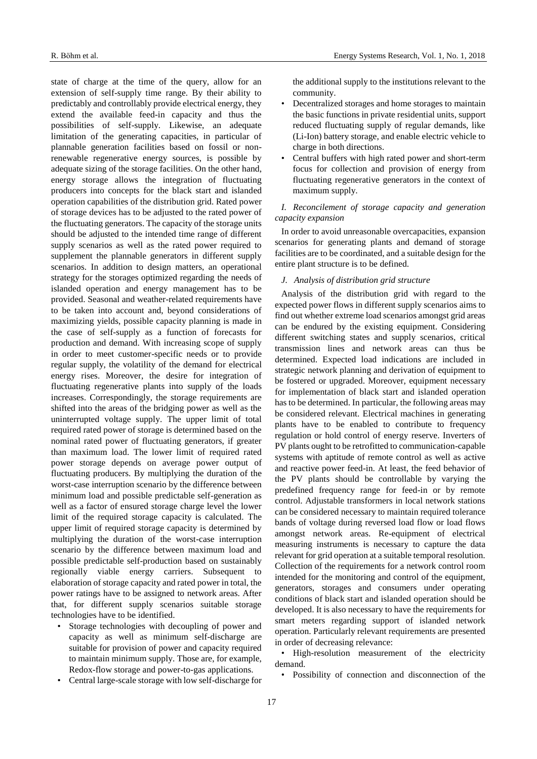state of charge at the time of the query, allow for an extension of self-supply time range. By their ability to predictably and controllably provide electrical energy, they extend the available feed-in capacity and thus the possibilities of self-supply. Likewise, an adequate limitation of the generating capacities, in particular of plannable generation facilities based on fossil or nonrenewable regenerative energy sources, is possible by adequate sizing of the storage facilities. On the other hand, energy storage allows the integration of fluctuating producers into concepts for the black start and islanded operation capabilities of the distribution grid. Rated power of storage devices has to be adjusted to the rated power of the fluctuating generators. The capacity of the storage units should be adjusted to the intended time range of different supply scenarios as well as the rated power required to supplement the plannable generators in different supply scenarios. In addition to design matters, an operational strategy for the storages optimized regarding the needs of islanded operation and energy management has to be provided. Seasonal and weather-related requirements have to be taken into account and, beyond considerations of maximizing yields, possible capacity planning is made in the case of self-supply as a function of forecasts for production and demand. With increasing scope of supply in order to meet customer-specific needs or to provide regular supply, the volatility of the demand for electrical energy rises. Moreover, the desire for integration of fluctuating regenerative plants into supply of the loads increases. Correspondingly, the storage requirements are shifted into the areas of the bridging power as well as the uninterrupted voltage supply. The upper limit of total required rated power of storage is determined based on the nominal rated power of fluctuating generators, if greater than maximum load. The lower limit of required rated power storage depends on average power output of fluctuating producers. By multiplying the duration of the worst-case interruption scenario by the difference between minimum load and possible predictable self-generation as well as a factor of ensured storage charge level the lower limit of the required storage capacity is calculated. The upper limit of required storage capacity is determined by multiplying the duration of the worst-case interruption scenario by the difference between maximum load and possible predictable self-production based on sustainably regionally viable energy carriers. Subsequent to elaboration of storage capacity and rated power in total, the power ratings have to be assigned to network areas. After that, for different supply scenarios suitable storage technologies have to be identified.

- Storage technologies with decoupling of power and capacity as well as minimum self-discharge are suitable for provision of power and capacity required to maintain minimum supply. Those are, for example, Redox-flow storage and power-to-gas applications.
- Central large-scale storage with low self-discharge for

the additional supply to the institutions relevant to the community.

- Decentralized storages and home storages to maintain the basic functions in private residential units, support reduced fluctuating supply of regular demands, like (Li-Ion) battery storage, and enable electric vehicle to charge in both directions.
- Central buffers with high rated power and short-term focus for collection and provision of energy from fluctuating regenerative generators in the context of maximum supply.

# *I. Reconcilement of storage capacity and generation capacity expansion*

In order to avoid unreasonable overcapacities, expansion scenarios for generating plants and demand of storage facilities are to be coordinated, and a suitable design for the entire plant structure is to be defined.

# *J. Analysis of distribution grid structure*

Analysis of the distribution grid with regard to the expected power flows in different supply scenarios aims to find out whether extreme load scenarios amongst grid areas can be endured by the existing equipment. Considering different switching states and supply scenarios, critical transmission lines and network areas can thus be determined. Expected load indications are included in strategic network planning and derivation of equipment to be fostered or upgraded. Moreover, equipment necessary for implementation of black start and islanded operation has to be determined. In particular, the following areas may be considered relevant. Electrical machines in generating plants have to be enabled to contribute to frequency regulation or hold control of energy reserve. Inverters of PV plants ought to be retrofitted to communication-capable systems with aptitude of remote control as well as active and reactive power feed-in. At least, the feed behavior of the PV plants should be controllable by varying the predefined frequency range for feed-in or by remote control. Adjustable transformers in local network stations can be considered necessary to maintain required tolerance bands of voltage during reversed load flow or load flows amongst network areas. Re-equipment of electrical measuring instruments is necessary to capture the data relevant for grid operation at a suitable temporal resolution. Collection of the requirements for a network control room intended for the monitoring and control of the equipment, generators, storages and consumers under operating conditions of black start and islanded operation should be developed. It is also necessary to have the requirements for smart meters regarding support of islanded network operation. Particularly relevant requirements are presented in order of decreasing relevance:

• High-resolution measurement of the electricity demand.

• Possibility of connection and disconnection of the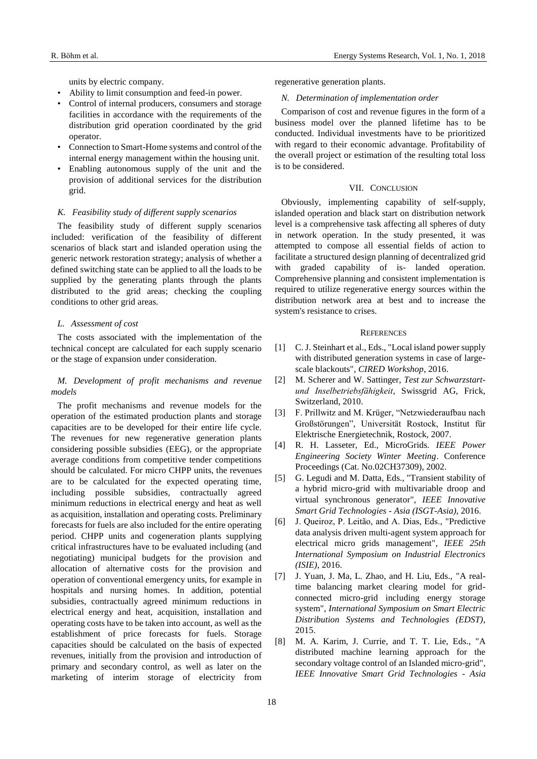units by electric company.

- Ability to limit consumption and feed-in power.
- Control of internal producers, consumers and storage facilities in accordance with the requirements of the distribution grid operation coordinated by the grid operator.
- Connection to Smart-Home systems and control of the internal energy management within the housing unit.
- Enabling autonomous supply of the unit and the provision of additional services for the distribution grid.

## *K. Feasibility study of different supply scenarios*

The feasibility study of different supply scenarios included: verification of the feasibility of different scenarios of black start and islanded operation using the generic network restoration strategy; analysis of whether a defined switching state can be applied to all the loads to be supplied by the generating plants through the plants distributed to the grid areas; checking the coupling conditions to other grid areas.

# *L. Assessment of cost*

The costs associated with the implementation of the technical concept are calculated for each supply scenario or the stage of expansion under consideration.

# *M. Development of profit mechanisms and revenue models*

The profit mechanisms and revenue models for the operation of the estimated production plants and storage capacities are to be developed for their entire life cycle. The revenues for new regenerative generation plants considering possible subsidies (EEG), or the appropriate average conditions from competitive tender competitions should be calculated. For micro CHPP units, the revenues are to be calculated for the expected operating time, including possible subsidies, contractually agreed minimum reductions in electrical energy and heat as well as acquisition, installation and operating costs. Preliminary forecasts for fuels are also included for the entire operating period. CHPP units and cogeneration plants supplying critical infrastructures have to be evaluated including (and negotiating) municipal budgets for the provision and allocation of alternative costs for the provision and operation of conventional emergency units, for example in hospitals and nursing homes. In addition, potential subsidies, contractually agreed minimum reductions in electrical energy and heat, acquisition, installation and operating costs have to be taken into account, as well as the establishment of price forecasts for fuels. Storage capacities should be calculated on the basis of expected revenues, initially from the provision and introduction of primary and secondary control, as well as later on the marketing of interim storage of electricity from regenerative generation plants.

#### *N. Determination of implementation order*

Comparison of cost and revenue figures in the form of a business model over the planned lifetime has to be conducted. Individual investments have to be prioritized with regard to their economic advantage. Profitability of the overall project or estimation of the resulting total loss is to be considered.

# VII. CONCLUSION

Obviously, implementing capability of self-supply, islanded operation and black start on distribution network level is a comprehensive task affecting all spheres of duty in network operation. In the study presented, it was attempted to compose all essential fields of action to facilitate a structured design planning of decentralized grid with graded capability of is- landed operation. Comprehensive planning and consistent implementation is required to utilize regenerative energy sources within the distribution network area at best and to increase the system's resistance to crises.

#### **REFERENCES**

- [1] C. J. Steinhart et al., Eds., "Local island power supply with distributed generation systems in case of largescale blackouts", *CIRED Workshop*, 2016.
- [2] M. Scherer and W. Sattinger, *Test zur Schwarzstartund Inselbetriebsfähigkeit*, Swissgrid AG, Frick, Switzerland, 2010.
- [3] F. Prillwitz and M. Krüger, "Netzwiederaufbau nach Großstörungen", Universität Rostock, Institut für Elektrische Energietechnik, Rostock, 2007.
- [4] R. H. Lasseter, Ed., MicroGrids. *IEEE Power Engineering Society Winter Meeting*. Conference Proceedings (Cat. No.02CH37309), 2002.
- [5] G. Legudi and M. Datta, Eds., "Transient stability of a hybrid micro-grid with multivariable droop and virtual synchronous generator", *IEEE Innovative Smart Grid Technologies - Asia (ISGT-Asia)*, 2016.
- [6] J. Queiroz, P. Leitão, and A. Dias, Eds., "Predictive data analysis driven multi-agent system approach for electrical micro grids management", *IEEE 25th International Symposium on Industrial Electronics (ISIE)*, 2016.
- [7] J. Yuan, J. Ma, L. Zhao, and H. Liu, Eds., "A realtime balancing market clearing model for gridconnected micro-grid including energy storage system", *International Symposium on Smart Electric Distribution Systems and Technologies (EDST)*, 2015.
- [8] M. A. Karim, J. Currie, and T. T. Lie, Eds., "A distributed machine learning approach for the secondary voltage control of an Islanded micro-grid", *IEEE Innovative Smart Grid Technologies - Asia*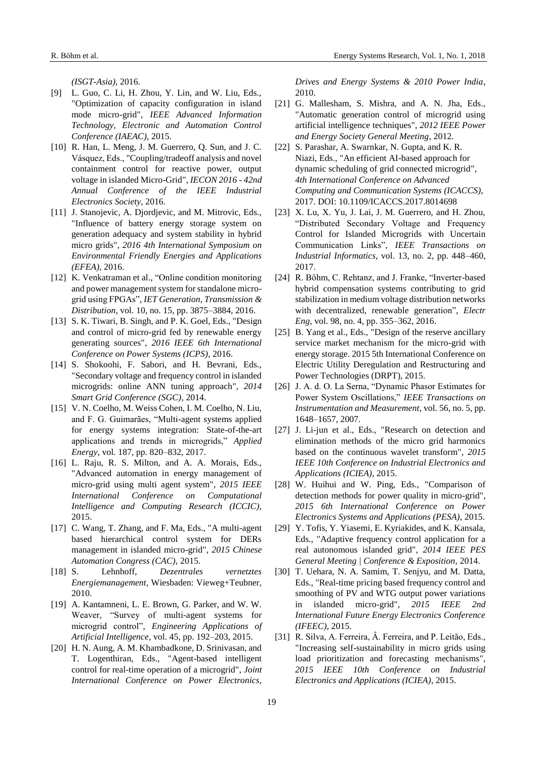*(ISGT-Asia)*, 2016.

- [9] L. Guo, C. Li, H. Zhou, Y. Lin, and W. Liu, Eds., "Optimization of capacity configuration in island mode micro-grid", *IEEE Advanced Information Technology, Electronic and Automation Control Conference (IAEAC)*, 2015.
- [10] R. Han, L. Meng, J. M. Guerrero, Q. Sun, and J. C. Vásquez, Eds., "Coupling/tradeoff analysis and novel containment control for reactive power, output voltage in islanded Micro-Grid", *IECON 2016 - 42nd Annual Conference of the IEEE Industrial Electronics Society*, 2016.
- [11] J. Stanojevic, A. Djordjevic, and M. Mitrovic, Eds., "Influence of battery energy storage system on generation adequacy and system stability in hybrid micro grids", *2016 4th International Symposium on Environmental Friendly Energies and Applications (EFEA)*, 2016.
- [12] K. Venkatraman et al., "Online condition monitoring and power management system for standalone microgrid using FPGAs", *IET Generation, Transmission & Distribution*, vol. 10, no. 15, pp. 3875–3884, 2016.
- [13] S. K. Tiwari, B. Singh, and P. K. Goel, Eds., "Design and control of micro-grid fed by renewable energy generating sources", *2016 IEEE 6th International Conference on Power Systems (ICPS)*, 2016.
- [14] S. Shokoohi, F. Sabori, and H. Bevrani, Eds., "Secondary voltage and frequency control in islanded microgrids: online ANN tuning approach", *2014 Smart Grid Conference (SGC)*, 2014.
- [15] V. N. Coelho, M. Weiss Cohen, I. M. Coelho, N. Liu, and F. G. Guimarães, "Multi-agent systems applied for energy systems integration: State-of-the-art applications and trends in microgrids," *Applied Energy*, vol. 187, pp. 820–832, 2017.
- [16] L. Raju, R. S. Milton, and A. A. Morais, Eds., "Advanced automation in energy management of micro-grid using multi agent system", *2015 IEEE International Conference on Computational Intelligence and Computing Research (ICCIC)*, 2015.
- [17] C. Wang, T. Zhang, and F. Ma, Eds., "A multi-agent based hierarchical control system for DERs management in islanded micro-grid", *2015 Chinese Automation Congress (CAC)*, 2015.
- [18] S. Lehnhoff, *Dezentrales vernetztes Energiemanagement,* Wiesbaden: Vieweg+Teubner, 2010.
- [19] A. Kantamneni, L. E. Brown, G. Parker, and W. W. Weaver, "Survey of multi-agent systems for microgrid control", *Engineering Applications of Artificial Intelligence*, vol. 45, pp. 192–203, 2015.
- [20] H. N. Aung, A. M. Khambadkone, D. Srinivasan, and T. Logenthiran, Eds., "Agent-based intelligent control for real-time operation of a microgrid", *Joint International Conference on Power Electronics,*

*Drives and Energy Systems & 2010 Power India*, 2010.

- [21] G. Mallesham, S. Mishra, and A. N. Jha, Eds., "Automatic generation control of microgrid using artificial intelligence techniques", *2012 IEEE Power and Energy Society General Meeting*, 2012.
- [22] S. Parashar, A. Swarnkar, N. Gupta, and K. R. Niazi, Eds., "An efficient AI-based approach for dynamic scheduling of grid connected microgrid", *4th International Conference on Advanced Computing and Communication Systems (ICACCS)*, 2017. DOI: 10.1109/ICACCS.2017.8014698
- [23] X. Lu, X. Yu, J. Lai, J. M. Guerrero, and H. Zhou, "Distributed Secondary Voltage and Frequency Control for Islanded Microgrids with Uncertain Communication Links", *IEEE Transactions on Industrial Informatics*, vol. 13, no. 2, pp. 448–460, 2017.
- [24] R. Böhm, C. Rehtanz, and J. Franke, "Inverter-based" hybrid compensation systems contributing to grid stabilization in medium voltage distribution networks with decentralized, renewable generation", *Electr Eng*, vol. 98, no. 4, pp. 355–362, 2016.
- [25] B. Yang et al., Eds., "Design of the reserve ancillary service market mechanism for the micro-grid with energy storage. 2015 5th International Conference on Electric Utility Deregulation and Restructuring and Power Technologies (DRPT), 2015.
- [26] J. A. d. O. La Serna, "Dynamic Phasor Estimates for Power System Oscillations," *IEEE Transactions on Instrumentation and Measurement*, vol. 56, no. 5, pp. 1648–1657, 2007.
- [27] J. Li-jun et al., Eds., "Research on detection and elimination methods of the micro grid harmonics based on the continuous wavelet transform", *2015 IEEE 10th Conference on Industrial Electronics and Applications (ICIEA)*, 2015.
- [28] W. Huihui and W. Ping, Eds., "Comparison of detection methods for power quality in micro-grid", *2015 6th International Conference on Power Electronics Systems and Applications (PESA)*, 2015.
- [29] Y. Tofis, Y. Yiasemi, E. Kyriakides, and K. Kansala, Eds., "Adaptive frequency control application for a real autonomous islanded grid", *2014 IEEE PES General Meeting | Conference & Exposition*, 2014.
- [30] T. Uehara, N. A. Samim, T. Senjyu, and M. Datta, Eds., "Real-time pricing based frequency control and smoothing of PV and WTG output power variations in islanded micro-grid", *2015 IEEE 2nd International Future Energy Electronics Conference (IFEEC)*, 2015.
- [31] R. Silva, A. Ferreira, Â. Ferreira, and P. Leitão, Eds., "Increasing self-sustainability in micro grids using load prioritization and forecasting mechanisms", *2015 IEEE 10th Conference on Industrial Electronics and Applications (ICIEA)*, 2015.